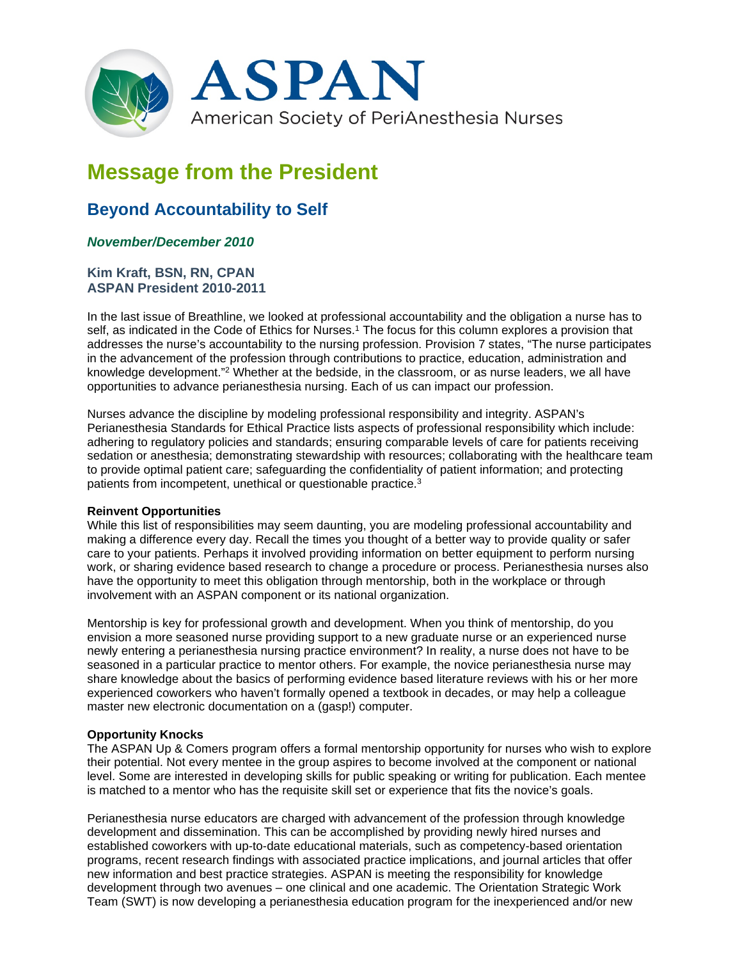

# **Message from the President**

## **Beyond Accountability to Self**

### *November/December 2010*

#### **Kim Kraft, BSN, RN, CPAN ASPAN President 2010-2011**

In the last issue of Breathline, we looked at professional accountability and the obligation a nurse has to self, as indicated in the Code of Ethics for Nurses.<sup>1</sup> The focus for this column explores a provision that addresses the nurse's accountability to the nursing profession. Provision 7 states, "The nurse participates in the advancement of the profession through contributions to practice, education, administration and knowledge development."2 Whether at the bedside, in the classroom, or as nurse leaders, we all have opportunities to advance perianesthesia nursing. Each of us can impact our profession.

Nurses advance the discipline by modeling professional responsibility and integrity. ASPAN's Perianesthesia Standards for Ethical Practice lists aspects of professional responsibility which include: adhering to regulatory policies and standards; ensuring comparable levels of care for patients receiving sedation or anesthesia; demonstrating stewardship with resources; collaborating with the healthcare team to provide optimal patient care; safeguarding the confidentiality of patient information; and protecting patients from incompetent, unethical or questionable practice.3

#### **Reinvent Opportunities**

While this list of responsibilities may seem daunting, you are modeling professional accountability and making a difference every day. Recall the times you thought of a better way to provide quality or safer care to your patients. Perhaps it involved providing information on better equipment to perform nursing work, or sharing evidence based research to change a procedure or process. Perianesthesia nurses also have the opportunity to meet this obligation through mentorship, both in the workplace or through involvement with an ASPAN component or its national organization.

Mentorship is key for professional growth and development. When you think of mentorship, do you envision a more seasoned nurse providing support to a new graduate nurse or an experienced nurse newly entering a perianesthesia nursing practice environment? In reality, a nurse does not have to be seasoned in a particular practice to mentor others. For example, the novice perianesthesia nurse may share knowledge about the basics of performing evidence based literature reviews with his or her more experienced coworkers who haven't formally opened a textbook in decades, or may help a colleague master new electronic documentation on a (gasp!) computer.

#### **Opportunity Knocks**

The ASPAN Up & Comers program offers a formal mentorship opportunity for nurses who wish to explore their potential. Not every mentee in the group aspires to become involved at the component or national level. Some are interested in developing skills for public speaking or writing for publication. Each mentee is matched to a mentor who has the requisite skill set or experience that fits the novice's goals.

Perianesthesia nurse educators are charged with advancement of the profession through knowledge development and dissemination. This can be accomplished by providing newly hired nurses and established coworkers with up-to-date educational materials, such as competency-based orientation programs, recent research findings with associated practice implications, and journal articles that offer new information and best practice strategies. ASPAN is meeting the responsibility for knowledge development through two avenues – one clinical and one academic. The Orientation Strategic Work Team (SWT) is now developing a perianesthesia education program for the inexperienced and/or new